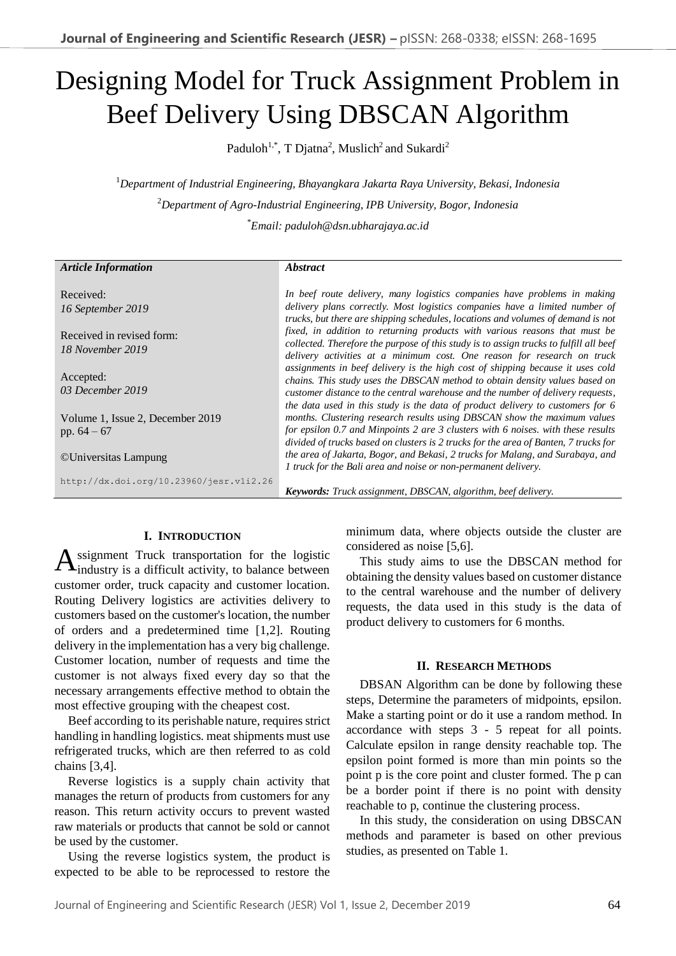# Designing Model for Truck Assignment Problem in Beef Delivery Using DBSCAN Algorithm

Paduloh<sup>1,\*</sup>, T Djatna<sup>2</sup>, Muslich<sup>2</sup> and Sukardi<sup>2</sup>

<sup>1</sup>*Department of Industrial Engineering, Bhayangkara Jakarta Raya University, Bekasi, Indonesia* <sup>2</sup>*Department of Agro-Industrial Engineering, IPB University, Bogor, Indonesia* \**Email: paduloh@dsn.ubharajaya.ac.id*

| <b>Article Information</b>              | <i><b>Abstract</b></i>                                                                 |
|-----------------------------------------|----------------------------------------------------------------------------------------|
|                                         |                                                                                        |
| Received:                               | In beef route delivery, many logistics companies have problems in making               |
| 16 September 2019                       | delivery plans correctly. Most logistics companies have a limited number of            |
|                                         | trucks, but there are shipping schedules, locations and volumes of demand is not       |
| Received in revised form:               | fixed, in addition to returning products with various reasons that must be             |
| 18 November 2019                        | collected. Therefore the purpose of this study is to assign trucks to fulfill all beef |
|                                         | delivery activities at a minimum cost. One reason for research on truck                |
|                                         | assignments in beef delivery is the high cost of shipping because it uses cold         |
| Accepted:                               | chains. This study uses the DBSCAN method to obtain density values based on            |
| 03 December 2019                        | customer distance to the central warehouse and the number of delivery requests,        |
|                                         | the data used in this study is the data of product delivery to customers for 6         |
| Volume 1, Issue 2, December 2019        | months. Clustering research results using DBSCAN show the maximum values               |
| pp. $64 - 67$                           | for epsilon 0.7 and Minpoints 2 are 3 clusters with 6 noises, with these results       |
|                                         | divided of trucks based on clusters is 2 trucks for the area of Banten, 7 trucks for   |
| ©Universitas Lampung                    | the area of Jakarta, Bogor, and Bekasi, 2 trucks for Malang, and Surabaya, and         |
|                                         | 1 truck for the Bali area and noise or non-permanent delivery.                         |
| http://dx.doi.org/10.23960/jesr.vli2.26 |                                                                                        |
|                                         | Keywords: Truck assignment, DBSCAN, algorithm, beef delivery.                          |

## **I. INTRODUCTION**

ssignment Truck transportation for the logistic **A**ssignment Truck transportation for the logistic industry is a difficult activity, to balance between customer order, truck capacity and customer location. Routing Delivery logistics are activities delivery to customers based on the customer's location, the number of orders and a predetermined time [1,2]. Routing delivery in the implementation has a very big challenge. Customer location, number of requests and time the customer is not always fixed every day so that the necessary arrangements effective method to obtain the most effective grouping with the cheapest cost.

Beef according to its perishable nature, requires strict handling in handling logistics. meat shipments must use refrigerated trucks, which are then referred to as cold chains [3,4].

Reverse logistics is a supply chain activity that manages the return of products from customers for any reason. This return activity occurs to prevent wasted raw materials or products that cannot be sold or cannot be used by the customer.

Using the reverse logistics system, the product is expected to be able to be reprocessed to restore the minimum data, where objects outside the cluster are considered as noise [5,6].

This study aims to use the DBSCAN method for obtaining the density values based on customer distance to the central warehouse and the number of delivery requests, the data used in this study is the data of product delivery to customers for 6 months.

#### **II. RESEARCH METHODS**

DBSAN Algorithm can be done by following these steps, Determine the parameters of midpoints, epsilon. Make a starting point or do it use a random method. In accordance with steps 3 - 5 repeat for all points. Calculate epsilon in range density reachable top. The epsilon point formed is more than min points so the point p is the core point and cluster formed. The p can be a border point if there is no point with density reachable to p, continue the clustering process.

In this study, the consideration on using DBSCAN methods and parameter is based on other previous studies, as presented on Table 1.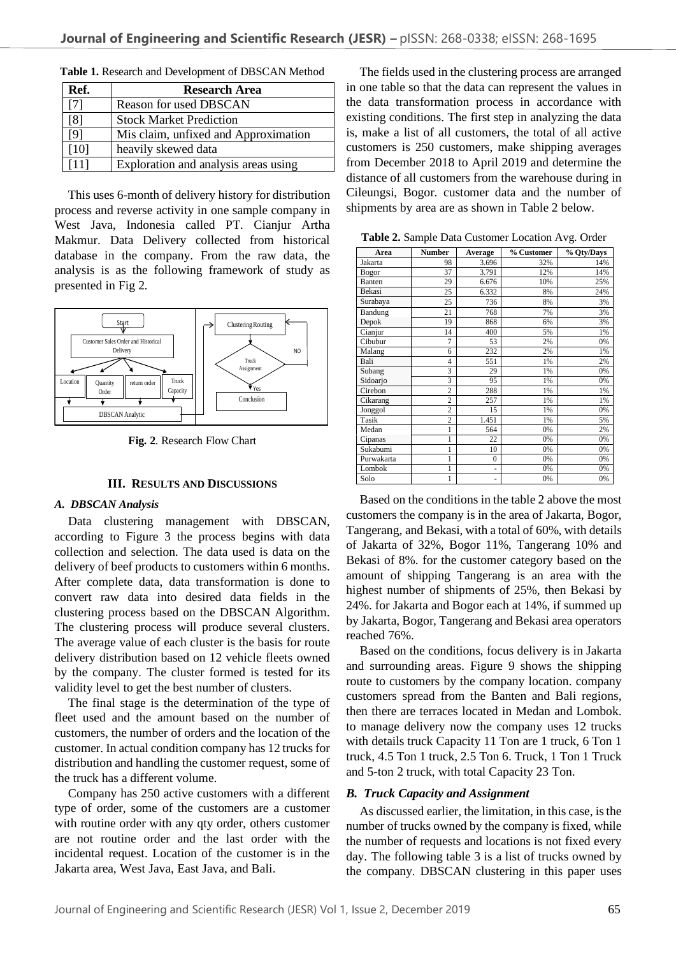| Ref.              | <b>Research Area</b>                 |  |
|-------------------|--------------------------------------|--|
|                   | <b>Reason for used DBSCAN</b>        |  |
| $\lceil 8 \rceil$ | <b>Stock Market Prediction</b>       |  |
| [9]               | Mis claim, unfixed and Approximation |  |
| [10]              | heavily skewed data                  |  |
|                   | Exploration and analysis areas using |  |

**Table 1.** Research and Development of DBSCAN Method

This uses 6-month of delivery history for distribution process and reverse activity in one sample company in West Java, Indonesia called PT. Cianjur Artha Makmur. Data Delivery collected from historical database in the company. From the raw data, the analysis is as the following framework of study as presented in Fig 2.



**Fig. 2**. Research Flow Chart

#### **III. RESULTS AND DISCUSSIONS**

#### *A. DBSCAN Analysis*

Data clustering management with DBSCAN, according to Figure 3 the process begins with data collection and selection. The data used is data on the delivery of beef products to customers within 6 months. After complete data, data transformation is done to convert raw data into desired data fields in the clustering process based on the DBSCAN Algorithm. The clustering process will produce several clusters. The average value of each cluster is the basis for route delivery distribution based on 12 vehicle fleets owned by the company. The cluster formed is tested for its validity level to get the best number of clusters.

The final stage is the determination of the type of fleet used and the amount based on the number of customers, the number of orders and the location of the customer. In actual condition company has 12 trucks for distribution and handling the customer request, some of the truck has a different volume.

Company has 250 active customers with a different type of order, some of the customers are a customer with routine order with any qty order, others customer are not routine order and the last order with the incidental request. Location of the customer is in the Jakarta area, West Java, East Java, and Bali.

The fields used in the clustering process are arranged in one table so that the data can represent the values in the data transformation process in accordance with existing conditions. The first step in analyzing the data is, make a list of all customers, the total of all active customers is 250 customers, make shipping averages from December 2018 to April 2019 and determine the distance of all customers from the warehouse during in Cileungsi, Bogor. customer data and the number of shipments by area are as shown in Table 2 below.

**Table 2.** Sample Data Customer Location Avg. Order

| Area       | <b>Number</b>  | Average      | % Customer | % Qty/Days |
|------------|----------------|--------------|------------|------------|
| Jakarta    | 98             | 3.696        | 32%        | 14%        |
| Bogor      | 37             | 3.791        | 12%        | 14%        |
| Banten     | 29             | 6.676        | 10%        | 25%        |
| Bekasi     | 25             | 6.332        | 8%         | 24%        |
| Surabaya   | 25             | 736          | 8%         | 3%         |
| Bandung    | 21             | 768          | 7%         | 3%         |
| Depok      | 19             | 868          | 6%         | 3%         |
| Cianjur    | 14             | 400          | 5%         | 1%         |
| Cibubur    | $\overline{7}$ | 53           | 2%         | 0%         |
| Malang     | 6              | 232          | 2%         | 1%         |
| Bali       | $\overline{4}$ | 551          | 1%         | 2%         |
| Subang     | 3              | 29           | 1%         | 0%         |
| Sidoarjo   | 3              | 95           | 1%         | 0%         |
| Cirebon    | $\overline{c}$ | 288          | 1%         | 1%         |
| Cikarang   | $\overline{c}$ | 257          | 1%         | 1%         |
| Jonggol    | $\overline{c}$ | 15           | 1%         | 0%         |
| Tasik      | $\overline{c}$ | 1.451        | 1%         | 5%         |
| Medan      | 1              | 564          | 0%         | 2%         |
| Cipanas    | $\mathbf{1}$   | 22           | 0%         | 0%         |
| Sukabumi   | 1              | 10           | 0%         | 0%         |
| Purwakarta | 1              | $\mathbf{0}$ | 0%         | 0%         |
| Lombok     | 1              | ۰            | 0%         | 0%         |
| Solo       | 1              | ٠            | 0%         | 0%         |

Based on the conditions in the table 2 above the most customers the company is in the area of Jakarta, Bogor, Tangerang, and Bekasi, with a total of 60%, with details of Jakarta of 32%, Bogor 11%, Tangerang 10% and Bekasi of 8%. for the customer category based on the amount of shipping Tangerang is an area with the highest number of shipments of 25%, then Bekasi by 24%. for Jakarta and Bogor each at 14%, if summed up by Jakarta, Bogor, Tangerang and Bekasi area operators reached 76%.

Based on the conditions, focus delivery is in Jakarta and surrounding areas. Figure 9 shows the shipping route to customers by the company location. company customers spread from the Banten and Bali regions, then there are terraces located in Medan and Lombok. to manage delivery now the company uses 12 trucks with details truck Capacity 11 Ton are 1 truck, 6 Ton 1 truck, 4.5 Ton 1 truck, 2.5 Ton 6. Truck, 1 Ton 1 Truck and 5-ton 2 truck, with total Capacity 23 Ton.

#### *B. Truck Capacity and Assignment*

As discussed earlier, the limitation, in this case, is the number of trucks owned by the company is fixed, while the number of requests and locations is not fixed every day. The following table 3 is a list of trucks owned by the company. DBSCAN clustering in this paper uses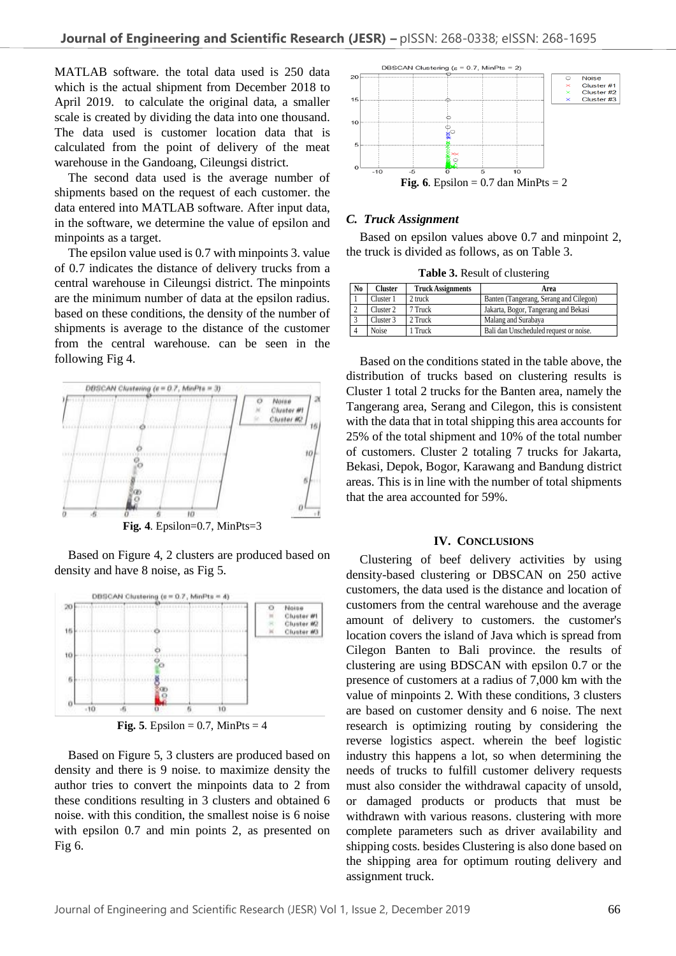MATLAB software. the total data used is 250 data which is the actual shipment from December 2018 to April 2019. to calculate the original data, a smaller scale is created by dividing the data into one thousand. The data used is customer location data that is calculated from the point of delivery of the meat warehouse in the Gandoang, Cileungsi district.

The second data used is the average number of shipments based on the request of each customer. the data entered into MATLAB software. After input data, in the software, we determine the value of epsilon and minpoints as a target.

The epsilon value used is 0.7 with minpoints 3. value of 0.7 indicates the distance of delivery trucks from a central warehouse in Cileungsi district. The minpoints are the minimum number of data at the epsilon radius. based on these conditions, the density of the number of shipments is average to the distance of the customer from the central warehouse. can be seen in the following Fig 4.



Based on Figure 4, 2 clusters are produced based on density and have 8 noise, as Fig 5.



**Fig.** 5. Epsilon =  $0.7$ , MinPts =  $4$ 

Based on Figure 5, 3 clusters are produced based on density and there is 9 noise. to maximize density the author tries to convert the minpoints data to 2 from these conditions resulting in 3 clusters and obtained 6 noise. with this condition, the smallest noise is 6 noise with epsilon 0.7 and min points 2, as presented on Fig 6.



### *C. Truck Assignment*

Based on epsilon values above 0.7 and minpoint 2, the truck is divided as follows, as on Table 3.

**Table 3.** Result of clustering

| N <sub>0</sub> | Cluster   | <b>Truck Assignments</b> | Area                                   |
|----------------|-----------|--------------------------|----------------------------------------|
|                | Cluster 1 | 2 truck                  | Banten (Tangerang, Serang and Cilegon) |
|                | Cluster 2 | 7 Truck                  | Jakarta, Bogor, Tangerang and Bekasi   |
|                | Cluster 3 | 2 Truck                  | Malang and Surabaya                    |
|                | Noise     | 1 Truck                  | Bali dan Unscheduled request or noise. |

Based on the conditions stated in the table above, the distribution of trucks based on clustering results is Cluster 1 total 2 trucks for the Banten area, namely the Tangerang area, Serang and Cilegon, this is consistent with the data that in total shipping this area accounts for 25% of the total shipment and 10% of the total number of customers. Cluster 2 totaling 7 trucks for Jakarta, Bekasi, Depok, Bogor, Karawang and Bandung district areas. This is in line with the number of total shipments that the area accounted for 59%.

#### **IV. CONCLUSIONS**

Clustering of beef delivery activities by using density-based clustering or DBSCAN on 250 active customers, the data used is the distance and location of customers from the central warehouse and the average amount of delivery to customers. the customer's location covers the island of Java which is spread from Cilegon Banten to Bali province. the results of clustering are using BDSCAN with epsilon 0.7 or the presence of customers at a radius of 7,000 km with the value of minpoints 2. With these conditions, 3 clusters are based on customer density and 6 noise. The next research is optimizing routing by considering the reverse logistics aspect. wherein the beef logistic industry this happens a lot, so when determining the needs of trucks to fulfill customer delivery requests must also consider the withdrawal capacity of unsold, or damaged products or products that must be withdrawn with various reasons. clustering with more complete parameters such as driver availability and shipping costs. besides Clustering is also done based on the shipping area for optimum routing delivery and **Assignments Area**<br> **Assignments Area**<br> **Example 1 Cluster 1 Cluster 1 Cluster 1 Cluster 1 Cluster E Cluster Cluster E Cluster E Cluster E Cluster Cluster E Cluster Cluster**